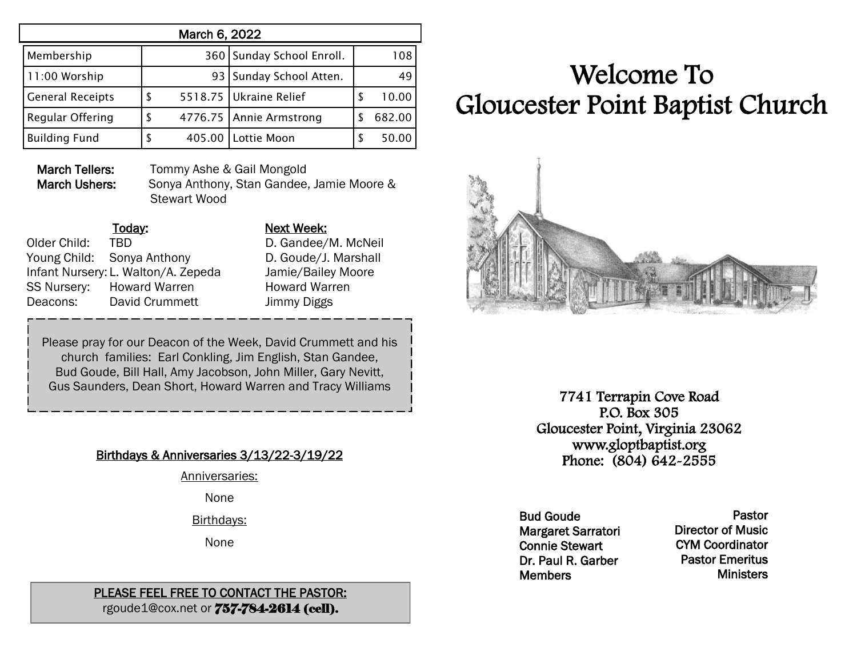| March 6, 2022           |   |  |                           |    |        |  |  |
|-------------------------|---|--|---------------------------|----|--------|--|--|
| Membership              |   |  | 360 Sunday School Enroll. |    | 108    |  |  |
| 11:00 Worship           |   |  | 93   Sunday School Atten. |    | 49     |  |  |
| <b>General Receipts</b> | S |  | 5518.75   Ukraine Relief  | S  | 10.00  |  |  |
| Regular Offering        | S |  | 4776.75 Annie Armstrong   |    | 682.00 |  |  |
| <b>Building Fund</b>    | S |  | 405.00 Lottie Moon        | ٢, | 50.00  |  |  |

March Tellers: Tommy Ashe & Gail Mongold

March Ushers: Sonya Anthony, Stan Gandee, Jamie Moore & Stewart Wood

### Today: Next Week: Older Child: TBD D. Gandee/M. McNeil Young Child: Sonya Anthony D. Goude/J. Marshall Infant Nursery: L. Walton/A. Zepeda Jamie/Bailey Moore SS Nursery: Howard Warren Howard Warren Deacons: David Crummett Jimmy Diggs

Please pray for our Deacon of the Week, David Crummett and his church families: Earl Conkling, Jim English, Stan Gandee, Bud Goude, Bill Hall, Amy Jacobson, John Miller, Gary Nevitt, Gus Saunders, Dean Short, Howard Warren and Tracy Williams

# Birthdays & Anniversaries 3/13/22-3/19/22

Anniversaries:

None

Birthdays:

None

### PLEASE FEEL FREE TO CONTACT THE PASTOR: rgoude1@cox.net or 757-784-2614 (cell).

# Welcome To Gloucester Point Baptist Church



7741 Terrapin Cove Road P.O. Box 305 Gloucester Point, Virginia 23062 www.gloptbaptist.org Phone: (804) 642-2555

Bud Goude Margaret Sarratori Connie Stewart Dr. Paul R. Garber **Members** 

Pastor Director of Music CYM Coordinator Pastor Emeritus **Ministers**